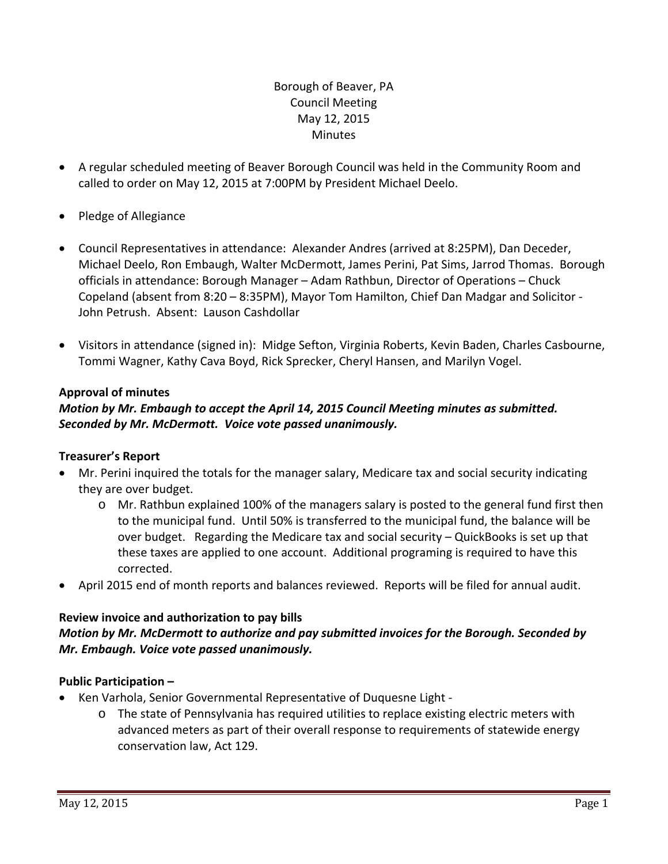## Borough of Beaver, PA Council Meeting May 12, 2015 **Minutes**

- A regular scheduled meeting of Beaver Borough Council was held in the Community Room and called to order on May 12, 2015 at 7:00PM by President Michael Deelo.
- Pledge of Allegiance
- Council Representatives in attendance: Alexander Andres (arrived at 8:25PM), Dan Deceder, Michael Deelo, Ron Embaugh, Walter McDermott, James Perini, Pat Sims, Jarrod Thomas. Borough officials in attendance: Borough Manager – Adam Rathbun, Director of Operations – Chuck Copeland (absent from 8:20 – 8:35PM), Mayor Tom Hamilton, Chief Dan Madgar and Solicitor ‐ John Petrush. Absent: Lauson Cashdollar
- Visitors in attendance (signed in): Midge Sefton, Virginia Roberts, Kevin Baden, Charles Casbourne, Tommi Wagner, Kathy Cava Boyd, Rick Sprecker, Cheryl Hansen, and Marilyn Vogel.

### **Approval of minutes**

## *Motion by Mr. Embaugh to accept the April 14, 2015 Council Meeting minutes as submitted. Seconded by Mr. McDermott. Voice vote passed unanimously.*

### **Treasurer's Report**

- Mr. Perini inquired the totals for the manager salary, Medicare tax and social security indicating they are over budget.
	- o Mr. Rathbun explained 100% of the managers salary is posted to the general fund first then to the municipal fund. Until 50% is transferred to the municipal fund, the balance will be over budget. Regarding the Medicare tax and social security – QuickBooks is set up that these taxes are applied to one account. Additional programing is required to have this corrected.
- April 2015 end of month reports and balances reviewed. Reports will be filed for annual audit.

### **Review invoice and authorization to pay bills**

## *Motion by Mr. McDermott to authorize and pay submitted invoices for the Borough. Seconded by Mr. Embaugh. Voice vote passed unanimously.*

### **Public Participation –**

- Ken Varhola, Senior Governmental Representative of Duquesne Light
	- o The state of Pennsylvania has required utilities to replace existing electric meters with advanced meters as part of their overall response to requirements of statewide energy conservation law, Act 129.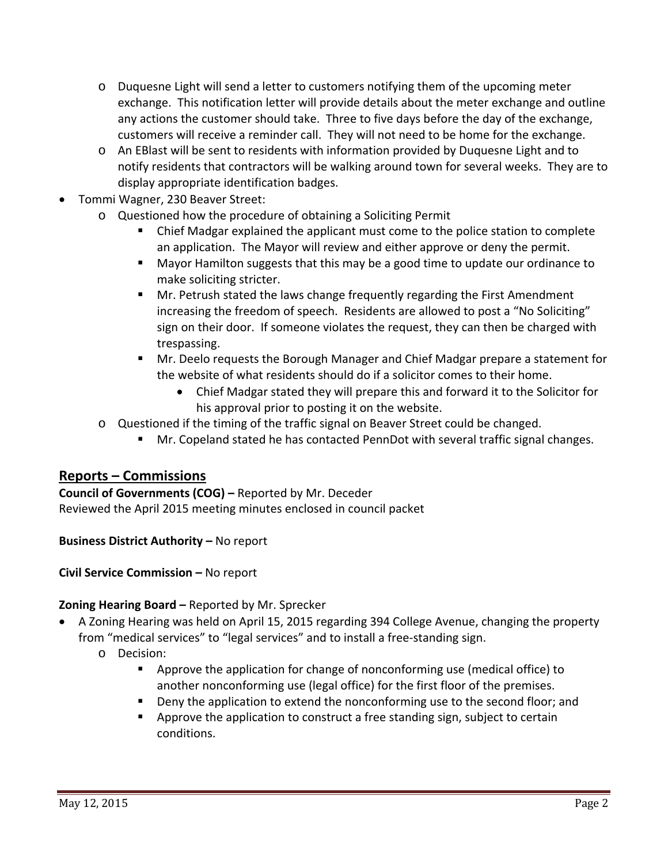- o Duquesne Light will send a letter to customers notifying them of the upcoming meter exchange. This notification letter will provide details about the meter exchange and outline any actions the customer should take. Three to five days before the day of the exchange, customers will receive a reminder call. They will not need to be home for the exchange.
- o An EBlast will be sent to residents with information provided by Duquesne Light and to notify residents that contractors will be walking around town for several weeks. They are to display appropriate identification badges.
- Tommi Wagner, 230 Beaver Street:
	- o Questioned how the procedure of obtaining a Soliciting Permit
		- Chief Madgar explained the applicant must come to the police station to complete an application. The Mayor will review and either approve or deny the permit.
		- **Mayor Hamilton suggests that this may be a good time to update our ordinance to** make soliciting stricter.
		- Mr. Petrush stated the laws change frequently regarding the First Amendment increasing the freedom of speech. Residents are allowed to post a "No Soliciting" sign on their door. If someone violates the request, they can then be charged with trespassing.
		- Mr. Deelo requests the Borough Manager and Chief Madgar prepare a statement for the website of what residents should do if a solicitor comes to their home.
			- Chief Madgar stated they will prepare this and forward it to the Solicitor for his approval prior to posting it on the website.
	- o Questioned if the timing of the traffic signal on Beaver Street could be changed.
		- Mr. Copeland stated he has contacted PennDot with several traffic signal changes.

# **Reports – Commissions**

**Council of Governments (COG) –** Reported by Mr. Deceder Reviewed the April 2015 meeting minutes enclosed in council packet

**Business District Authority –** No report

**Civil Service Commission –** No report

### **Zoning Hearing Board –** Reported by Mr. Sprecker

- A Zoning Hearing was held on April 15, 2015 regarding 394 College Avenue, changing the property from "medical services" to "legal services" and to install a free-standing sign.
	- o Decision:
		- Approve the application for change of nonconforming use (medical office) to another nonconforming use (legal office) for the first floor of the premises.
		- **•** Deny the application to extend the nonconforming use to the second floor; and
		- **•** Approve the application to construct a free standing sign, subject to certain conditions.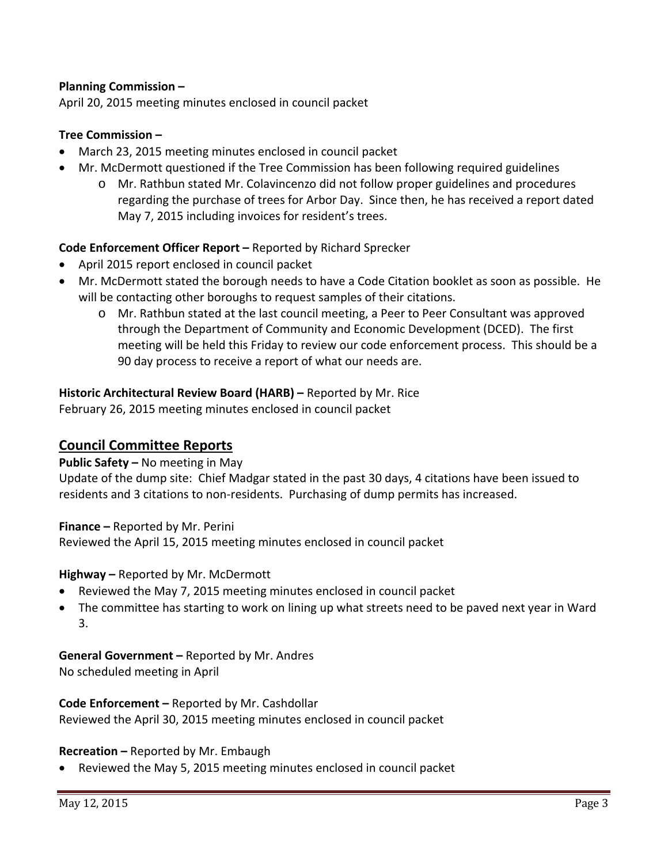### **Planning Commission –**

April 20, 2015 meeting minutes enclosed in council packet

### **Tree Commission –**

- March 23, 2015 meeting minutes enclosed in council packet
- Mr. McDermott questioned if the Tree Commission has been following required guidelines
	- o Mr. Rathbun stated Mr. Colavincenzo did not follow proper guidelines and procedures regarding the purchase of trees for Arbor Day. Since then, he has received a report dated May 7, 2015 including invoices for resident's trees.

### **Code Enforcement Officer Report –** Reported by Richard Sprecker

- April 2015 report enclosed in council packet
- Mr. McDermott stated the borough needs to have a Code Citation booklet as soon as possible. He will be contacting other boroughs to request samples of their citations.
	- o Mr. Rathbun stated at the last council meeting, a Peer to Peer Consultant was approved through the Department of Community and Economic Development (DCED). The first meeting will be held this Friday to review our code enforcement process. This should be a 90 day process to receive a report of what our needs are.

#### **Historic Architectural Review Board (HARB) –** Reported by Mr. Rice February 26, 2015 meeting minutes enclosed in council packet

# **Council Committee Reports**

**Public Safety –** No meeting in May

Update of the dump site: Chief Madgar stated in the past 30 days, 4 citations have been issued to residents and 3 citations to non-residents. Purchasing of dump permits has increased.

**Finance –** Reported by Mr. Perini Reviewed the April 15, 2015 meeting minutes enclosed in council packet

#### **Highway –** Reported by Mr. McDermott

- Reviewed the May 7, 2015 meeting minutes enclosed in council packet
- The committee has starting to work on lining up what streets need to be paved next year in Ward 3.

**General Government –** Reported by Mr. Andres No scheduled meeting in April

**Code Enforcement –** Reported by Mr. Cashdollar Reviewed the April 30, 2015 meeting minutes enclosed in council packet

**Recreation –** Reported by Mr. Embaugh

Reviewed the May 5, 2015 meeting minutes enclosed in council packet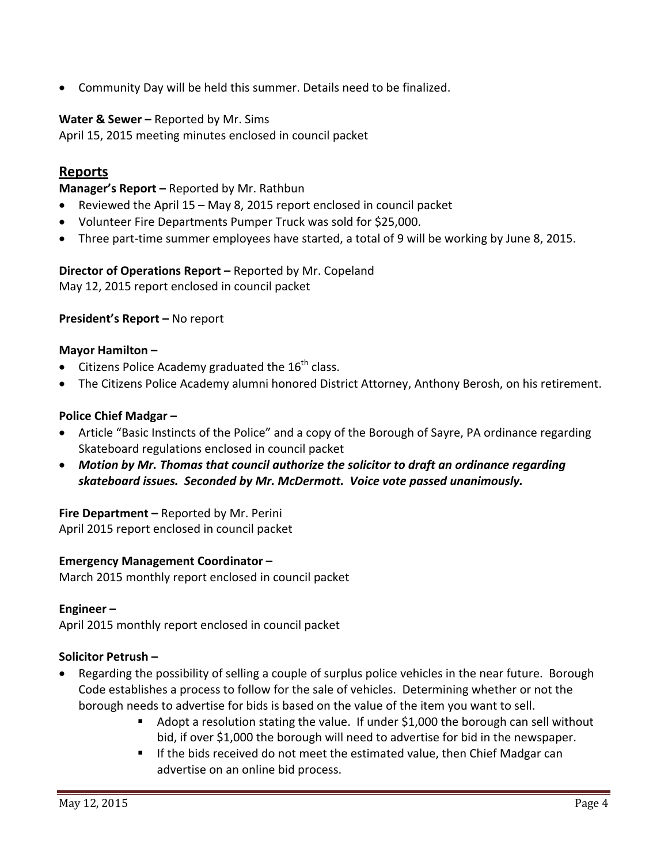Community Day will be held this summer. Details need to be finalized.

### **Water & Sewer –** Reported by Mr. Sims

April 15, 2015 meeting minutes enclosed in council packet

## **Reports**

**Manager's Report –** Reported by Mr. Rathbun

- Reviewed the April 15 May 8, 2015 report enclosed in council packet
- Volunteer Fire Departments Pumper Truck was sold for \$25,000.
- Three part-time summer employees have started, a total of 9 will be working by June 8, 2015.

**Director of Operations Report –** Reported by Mr. Copeland May 12, 2015 report enclosed in council packet

#### **President's Report –** No report

#### **Mayor Hamilton –**

- Citizens Police Academy graduated the  $16^{th}$  class.
- The Citizens Police Academy alumni honored District Attorney, Anthony Berosh, on his retirement.

#### **Police Chief Madgar –**

- Article "Basic Instincts of the Police" and a copy of the Borough of Sayre, PA ordinance regarding Skateboard regulations enclosed in council packet
- *Motion by Mr. Thomas that council authorize the solicitor to draft an ordinance regarding skateboard issues. Seconded by Mr. McDermott. Voice vote passed unanimously.*

#### **Fire Department –** Reported by Mr. Perini

April 2015 report enclosed in council packet

#### **Emergency Management Coordinator –**

March 2015 monthly report enclosed in council packet

#### **Engineer –**

April 2015 monthly report enclosed in council packet

#### **Solicitor Petrush –**

- Regarding the possibility of selling a couple of surplus police vehicles in the near future. Borough Code establishes a process to follow for the sale of vehicles. Determining whether or not the borough needs to advertise for bids is based on the value of the item you want to sell.
	- Adopt a resolution stating the value. If under \$1,000 the borough can sell without bid, if over \$1,000 the borough will need to advertise for bid in the newspaper.
	- If the bids received do not meet the estimated value, then Chief Madgar can advertise on an online bid process.